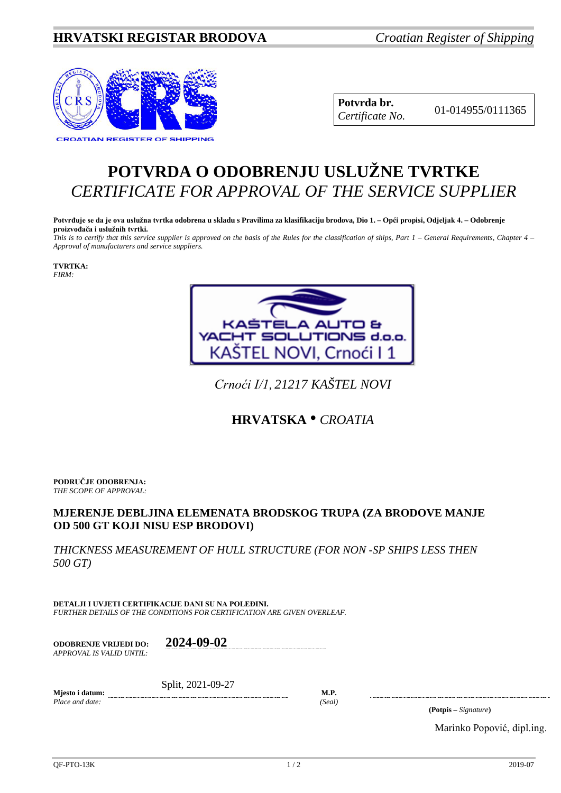## **HRVATSKI REGISTAR BRODOVA** *Croatian Register of Shipping*



**Potvrda br.** 01-014955/0111365 *Certificate No.*

## **POTVRDA O ODOBRENJU USLUŽNE TVRTKE** *CERTIFICATE FOR APPROVAL OF THE SERVICE SUPPLIER*

**Potvrđuje se da je ova uslužna tvrtka odobrena u skladu s Pravilima za klasifikaciju brodova, Dio 1. – Opći propisi, Odjeljak 4. – Odobrenje proizvođača i uslužnih tvrtki.**

*This is to certify that this service supplier is approved on the basis of the Rules for the classification of ships, Part 1 – General Requirements, Chapter 4 – Approval of manufacturers and service suppliers.*

**TVRTKA:** *FIRM:*



*Crnoći I/1*, *21217 KAŠTEL NOVI*

## **HRVATSKA** • *CROATIA*

**PODRUČJE ODOBRENJA:** *THE SCOPE OF APPROVAL:*

## **MJERENJE DEBLJINA ELEMENATA BRODSKOG TRUPA (ZA BRODOVE MANJE OD 500 GT KOJI NISU ESP BRODOVI)**

*THICKNESS MEASUREMENT OF HULL STRUCTURE (FOR NON -SP SHIPS LESS THEN 500 GT)*

**DETALJI I UVJETI CERTIFIKACIJE DANI SU NA POLEĐINI.** *FURTHER DETAILS OF THE CONDITIONS FOR CERTIFICATION ARE GIVEN OVERLEAF.*

**ODOBRENJE VRIJEDI DO: 2024-09-02** *APPROVAL IS VALID UNTIL:*

**Mjesto i datum:** Split, 2021-09-27

*Place and date: (Seal)*

**M.P.**

**(Potpis –** *Signature***)**

Marinko Popović, dipl.ing.